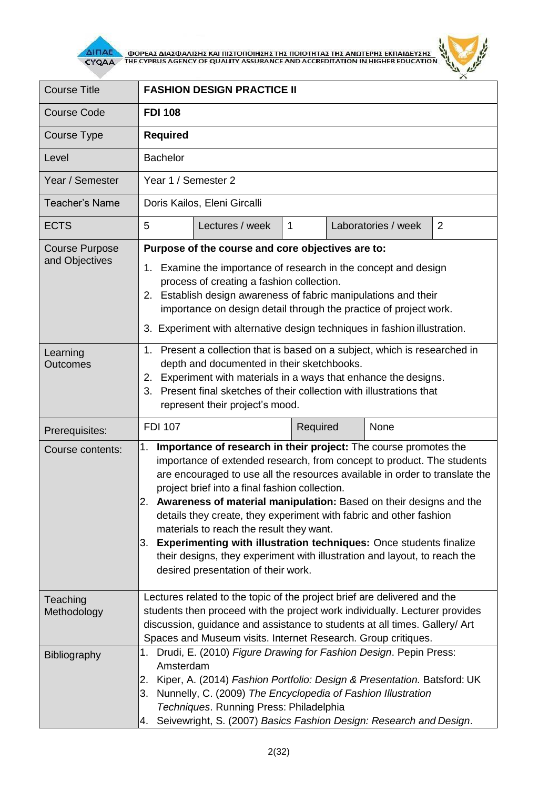

**AITIAE A OOPEAS AIAS DANISHS KAI TIISTOTOIHSHS THE TOIOTHTAS THE ANOTEPHS EKTIAIAEYSHS** 



| <b>Course Title</b>                     | <b>FASHION DESIGN PRACTICE II</b>                                                                                                                                                                                                                                                                                                                                                                                                                                                                                                                                                                                                                                                   |                 |                |  |                     |                |
|-----------------------------------------|-------------------------------------------------------------------------------------------------------------------------------------------------------------------------------------------------------------------------------------------------------------------------------------------------------------------------------------------------------------------------------------------------------------------------------------------------------------------------------------------------------------------------------------------------------------------------------------------------------------------------------------------------------------------------------------|-----------------|----------------|--|---------------------|----------------|
| <b>Course Code</b>                      | <b>FDI 108</b>                                                                                                                                                                                                                                                                                                                                                                                                                                                                                                                                                                                                                                                                      |                 |                |  |                     |                |
| Course Type                             | <b>Required</b>                                                                                                                                                                                                                                                                                                                                                                                                                                                                                                                                                                                                                                                                     |                 |                |  |                     |                |
| Level                                   | <b>Bachelor</b>                                                                                                                                                                                                                                                                                                                                                                                                                                                                                                                                                                                                                                                                     |                 |                |  |                     |                |
| Year / Semester                         | Year 1 / Semester 2                                                                                                                                                                                                                                                                                                                                                                                                                                                                                                                                                                                                                                                                 |                 |                |  |                     |                |
| <b>Teacher's Name</b>                   | Doris Kailos, Eleni Gircalli                                                                                                                                                                                                                                                                                                                                                                                                                                                                                                                                                                                                                                                        |                 |                |  |                     |                |
| <b>ECTS</b>                             | 5                                                                                                                                                                                                                                                                                                                                                                                                                                                                                                                                                                                                                                                                                   | Lectures / week | $\overline{1}$ |  | Laboratories / week | $\overline{2}$ |
| <b>Course Purpose</b><br>and Objectives | Purpose of the course and core objectives are to:<br>1. Examine the importance of research in the concept and design<br>process of creating a fashion collection.<br>2. Establish design awareness of fabric manipulations and their<br>importance on design detail through the practice of project work.<br>3. Experiment with alternative design techniques in fashion illustration.                                                                                                                                                                                                                                                                                              |                 |                |  |                     |                |
| Learning<br><b>Outcomes</b>             | 1. Present a collection that is based on a subject, which is researched in<br>depth and documented in their sketchbooks.<br>2. Experiment with materials in a ways that enhance the designs.<br>3. Present final sketches of their collection with illustrations that<br>represent their project's mood.                                                                                                                                                                                                                                                                                                                                                                            |                 |                |  |                     |                |
| Prerequisites:                          | <b>FDI 107</b>                                                                                                                                                                                                                                                                                                                                                                                                                                                                                                                                                                                                                                                                      |                 | Required       |  | None                |                |
| Course contents:                        | Importance of research in their project: The course promotes the<br>1.<br>importance of extended research, from concept to product. The students<br>are encouraged to use all the resources available in order to translate the<br>project brief into a final fashion collection.<br>2. Awareness of material manipulation: Based on their designs and the<br>details they create, they experiment with fabric and other fashion<br>materials to reach the result they want.<br><b>Experimenting with illustration techniques: Once students finalize</b><br>3.<br>their designs, they experiment with illustration and layout, to reach the<br>desired presentation of their work. |                 |                |  |                     |                |
| Teaching<br>Methodology                 | Lectures related to the topic of the project brief are delivered and the<br>students then proceed with the project work individually. Lecturer provides<br>discussion, guidance and assistance to students at all times. Gallery/ Art<br>Spaces and Museum visits. Internet Research. Group critiques.                                                                                                                                                                                                                                                                                                                                                                              |                 |                |  |                     |                |
| Bibliography                            | 1. Drudi, E. (2010) Figure Drawing for Fashion Design. Pepin Press:<br>Amsterdam<br>Kiper, A. (2014) Fashion Portfolio: Design & Presentation. Batsford: UK<br>2.<br>Nunnelly, C. (2009) The Encyclopedia of Fashion Illustration<br>3.<br>Techniques. Running Press: Philadelphia<br>Seivewright, S. (2007) Basics Fashion Design: Research and Design.<br>4.                                                                                                                                                                                                                                                                                                                      |                 |                |  |                     |                |